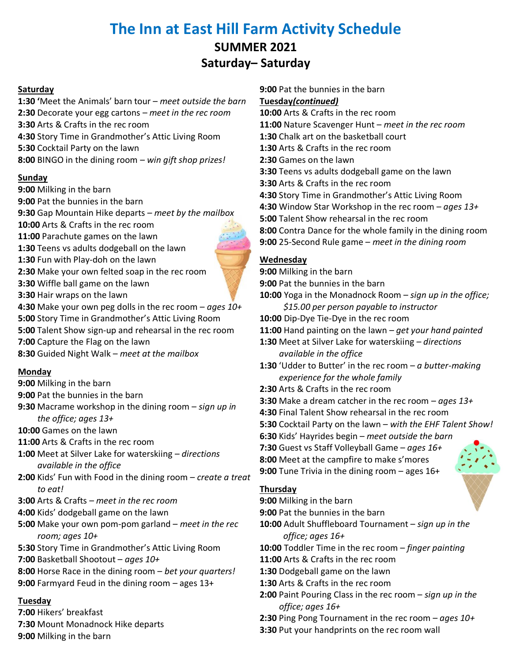# **The Inn at East Hill Farm Activity Schedule SUMMER 2021 Saturday– Saturday**

### **Saturday**

**1:30 '**Meet the Animals' barn tour – *meet outside the barn*  **2:30** Decorate your egg cartons – *meet in the rec room*  **3:30** Arts & Crafts in the rec room **4:30** Story Time in Grandmother's Attic Living Room **5:30** Cocktail Party on the lawn **8:00** BINGO in the dining room – *win gift shop prizes!*

### **Sunday**

**9:00** Milking in the barn **9:00** Pat the bunnies in the barn **9:30** Gap Mountain Hike departs – *meet by the mailbox* **10:00** Arts & Crafts in the rec room **11:00** Parachute games on the lawn **1:30** Teens vs adults dodgeball on the lawn **1:30** Fun with Play-doh on the lawn **2:30** Make your own felted soap in the rec room **3:30** Wiffle ball game on the lawn **3:30** Hair wraps on the lawn **4:30** Make your own peg dolls in the rec room – *ages 10+* **5:00** Story Time in Grandmother's Attic Living Room **5:00** Talent Show sign-up and rehearsal in the rec room **7:00** Capture the Flag on the lawn **8:30** Guided Night Walk – *meet at the mailbox*

### **Monday**

**9:00** Milking in the barn

- **9:00** Pat the bunnies in the barn
- **9:30** Macrame workshop in the dining room *sign up in the office; ages 13+* **10:00** Games on the lawn
- **11:00** Arts & Crafts in the rec room
- **1:00** Meet at Silver Lake for waterskiing *directions available in the office*
- **2:00** Kids' Fun with Food in the dining room *create a treat to eat!*
- **3:00** Arts & Crafts *meet in the rec room*
- **4:00** Kids' dodgeball game on the lawn
- **5:00** Make your own pom-pom garland *meet in the rec room; ages 10+*
- **5:30** Story Time in Grandmother's Attic Living Room
- **7:00** Basketball Shootout *ages 10+*
- **8:00** Horse Race in the dining room *bet your quarters!*
- **9:00** Farmyard Feud in the dining room ages 13+

## **Tuesday**

**7:00** Hikers' breakfast **7:30** Mount Monadnock Hike departs **9:00** Milking in the barn

**9:00** Pat the bunnies in the barn **Tuesday***(continued)* **10:00** Arts & Crafts in the rec room **11:00** Nature Scavenger Hunt – *meet in the rec room* **1:30** Chalk art on the basketball court **1:30** Arts & Crafts in the rec room **2:30** Games on the lawn **3:30** Teens vs adults dodgeball game on the lawn **3:30** Arts & Crafts in the rec room **4:30** Story Time in Grandmother's Attic Living Room **4:30** Window Star Workshop in the rec room – *ages 13+* **5:00** Talent Show rehearsal in the rec room **8:00** Contra Dance for the whole family in the dining room **9:00** 25-Second Rule game – *meet in the dining room*

## **Wednesday**

- **9:00** Milking in the barn **9:00** Pat the bunnies in the barn **10:00** Yoga in the Monadnock Room – *sign up in the office; \$15.00 per person payable to instructor* **10:00** Dip-Dye Tie-Dye in the rec room **11:00** Hand painting on the lawn – *get your hand painted*  **1:30** Meet at Silver Lake for waterskiing *– directions available in the office*  **1:30** 'Udder to Butter' in the rec room – *a butter-making experience for the whole family* **2:30** Arts & Crafts in the rec room **3:30** Make a dream catcher in the rec room – *ages 13+* **4:30** Final Talent Show rehearsal in the rec room **5:30** Cocktail Party on the lawn – *with the EHF Talent Show!* **6:30** Kids' Hayrides begin – *meet outside the barn* **7:30** Guest vs Staff Volleyball Game – *ages 16+* **8:00** Meet at the campfire to make s'mores **9:00** Tune Trivia in the dining room – ages 16+ **Thursday 9:00** Milking in the barn **9:00** Pat the bunnies in the barn
- **10:00** Adult Shuffleboard Tournament *sign up in the* 
	- *office; ages 16+*

**10:00** Toddler Time in the rec room – *finger painting*

- **11:00** Arts & Crafts in the rec room
- **1:30** Dodgeball game on the lawn
- **1:30** Arts & Crafts in the rec room
- **2:00** Paint Pouring Class in the rec room *sign up in the office; ages 16+*
- **2:30** Ping Pong Tournament in the rec room *ages 10+*
- **3:30** Put your handprints on the rec room wall